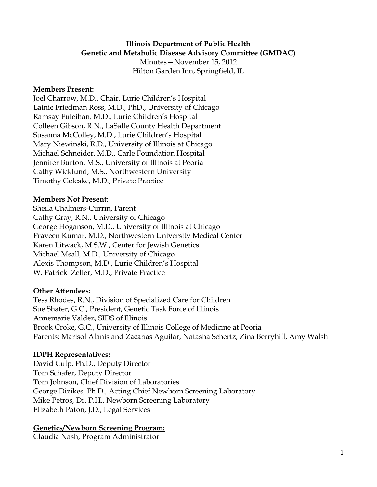### **Illinois Department of Public Health Genetic and Metabolic Disease Advisory Committee (GMDAC)**

Minutes—November 15, 2012 Hilton Garden Inn, Springfield, IL

#### **Members Present:**

Joel Charrow, M.D., Chair, Lurie Children's Hospital Lainie Friedman Ross, M.D., PhD., University of Chicago Ramsay Fuleihan, M.D., Lurie Children's Hospital Colleen Gibson, R.N., LaSalle County Health Department Susanna McColley, M.D., Lurie Children's Hospital Mary Niewinski, R.D., University of Illinois at Chicago Michael Schneider, M.D., Carle Foundation Hospital Jennifer Burton, M.S., University of Illinois at Peoria Cathy Wicklund, M.S., Northwestern University Timothy Geleske, M.D., Private Practice

#### **Members Not Present**:

Sheila Chalmers-Currin, Parent Cathy Gray, R.N., University of Chicago George Hoganson, M.D., University of Illinois at Chicago Praveen Kumar, M.D., Northwestern University Medical Center Karen Litwack, M.S.W., Center for Jewish Genetics Michael Msall, M.D., University of Chicago Alexis Thompson, M.D., Lurie Children's Hospital W. Patrick Zeller, M.D., Private Practice

#### **Other Attendees:**

Tess Rhodes, R.N., Division of Specialized Care for Children Sue Shafer, G.C., President, Genetic Task Force of Illinois Annemarie Valdez, SIDS of Illinois Brook Croke, G.C., University of Illinois College of Medicine at Peoria Parents: Marisol Alanis and Zacarias Aguilar, Natasha Schertz, Zina Berryhill, Amy Walsh

#### **IDPH Representatives:**

David Culp, Ph.D., Deputy Director Tom Schafer, Deputy Director Tom Johnson, Chief Division of Laboratories George Dizikes, Ph.D., Acting Chief Newborn Screening Laboratory Mike Petros, Dr. P.H., Newborn Screening Laboratory Elizabeth Paton, J.D., Legal Services

### **Genetics/Newborn Screening Program:**

Claudia Nash, Program Administrator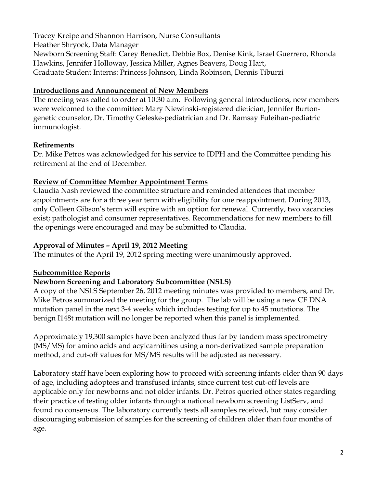Tracey Kreipe and Shannon Harrison, Nurse Consultants Heather Shryock, Data Manager Newborn Screening Staff: Carey Benedict, Debbie Box, Denise Kink, Israel Guerrero, Rhonda Hawkins, Jennifer Holloway, Jessica Miller, Agnes Beavers, Doug Hart, Graduate Student Interns: Princess Johnson, Linda Robinson, Dennis Tiburzi

## **Introductions and Announcement of New Members**

The meeting was called to order at 10:30 a.m. Following general introductions, new members were welcomed to the committee: Mary Niewinski-registered dietician, Jennifer Burtongenetic counselor, Dr. Timothy Geleske-pediatrician and Dr. Ramsay Fuleihan-pediatric immunologist.

# **Retirements**

Dr. Mike Petros was acknowledged for his service to IDPH and the Committee pending his retirement at the end of December.

## **Review of Committee Member Appointment Terms**

Claudia Nash reviewed the committee structure and reminded attendees that member appointments are for a three year term with eligibility for one reappointment. During 2013, only Colleen Gibson's term will expire with an option for renewal. Currently, two vacancies exist; pathologist and consumer representatives. Recommendations for new members to fill the openings were encouraged and may be submitted to Claudia.

# **Approval of Minutes – April 19, 2012 Meeting**

The minutes of the April 19, 2012 spring meeting were unanimously approved.

# **Subcommittee Reports**

# **Newborn Screening and Laboratory Subcommittee (NSLS)**

A copy of the NSLS September 26, 2012 meeting minutes was provided to members, and Dr. Mike Petros summarized the meeting for the group. The lab will be using a new CF DNA mutation panel in the next 3-4 weeks which includes testing for up to 45 mutations. The benign I148t mutation will no longer be reported when this panel is implemented.

Approximately 19,300 samples have been analyzed thus far by tandem mass spectrometry (MS/MS) for amino acids and acylcarnitines using a non-derivatized sample preparation method, and cut-off values for MS/MS results will be adjusted as necessary.

Laboratory staff have been exploring how to proceed with screening infants older than 90 days of age, including adoptees and transfused infants, since current test cut-off levels are applicable only for newborns and not older infants. Dr. Petros queried other states regarding their practice of testing older infants through a national newborn screening ListServ, and found no consensus. The laboratory currently tests all samples received, but may consider discouraging submission of samples for the screening of children older than four months of age.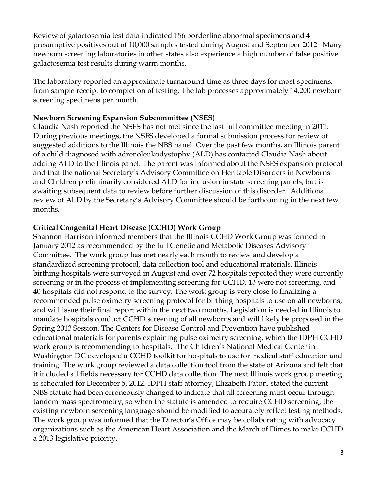Review of galactosemia test data indicated 156 borderline abnormal specimens and 4 presumptive positives out of 10,000 samples tested during August and September 2012. Many newborn screening laboratories in other states also experience a high number of false positive galactosemia test results during warm months.

The laboratory reported an approximate turnaround time as three days for most specimens, from sample receipt to completion of testing. The lab processes approximately 14,200 newborn screening specimens per month.

#### **Newborn Screening Expansion Subcommittee (NSES)**

Claudia Nash reported the NSES has not met since the last full committee meeting in 2011. During previous meetings, the NSES developed a formal submission process for review of suggested additions to the Illinois the NBS panel. Over the past few months, an Illinois parent of a child diagnosed with adrenoleukodystophy (ALD) has contacted Claudia Nash about adding ALD to the Illinois panel. The parent was informed about the NSES expansion protocol and that the national Secretary's Advisory Committee on Heritable Disorders in Newborns and Children preliminarily considered ALD for inclusion in state screening panels, but is awaiting subsequent data to review before further discussion of this disorder. Additional review of ALD by the Secretary's Advisory Committee should be forthcoming in the next few months.

### **Critical Congenital Heart Disease (CCHD) Work Group**

Shannon Harrison informed members that the Illinois CCHD Work Group was formed in January 2012 as recommended by the full Genetic and Metabolic Diseases Advisory Committee. The work group has met nearly each month to review and develop a standardized screening protocol, data collection tool and educational materials. Illinois birthing hospitals were surveyed in August and over 72 hospitals reported they were currently screening or in the process of implementing screening for CCHD, 13 were not screening, and 40 hospitals did not respond to the survey. The work group is very close to finalizing a recommended pulse oximetry screening protocol for birthing hospitals to use on all newborns, and will issue their final report within the next two months. Legislation is needed in Illinois to mandate hospitals conduct CCHD screening of all newborns and will likely be proposed in the Spring 2013 Session. The Centers for Disease Control and Prevention have published educational materials for parents explaining pulse oximetry screening, which the IDPH CCHD work group is recommending to hospitals. The Children's National Medical Center in Washington DC developed a CCHD toolkit for hospitals to use for medical staff education and training. The work group reviewed a data collection tool from the state of Arizona and felt that it included all fields necessary for CCHD data collection. The next Illinois work group meeting is scheduled for December 5, 2012. IDPH staff attorney, Elizabeth Paton, stated the current NBS statute had been erroneously changed to indicate that all screening must occur through tandem mass spectrometry, so when the statute is amended to require CCHD screening, the existing newborn screening language should be modified to accurately reflect testing methods. The work group was informed that the Director's Office may be collaborating with advocacy organizations such as the American Heart Association and the March of Dimes to make CCHD a 2013 legislative priority.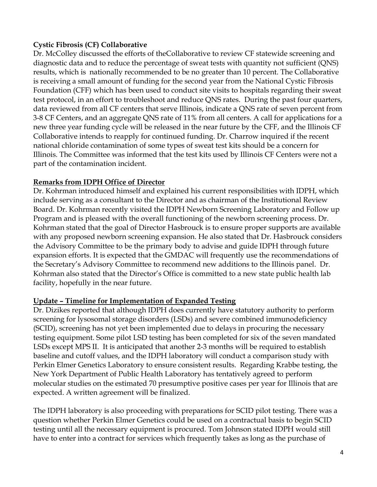## **Cystic Fibrosis (CF) Collaborative**

Dr. McColley discussed the efforts of theCollaborative to review CF statewide screening and diagnostic data and to reduce the percentage of sweat tests with quantity not sufficient (QNS) results, which is nationally recommended to be no greater than 10 percent. The Collaborative is receiving a small amount of funding for the second year from the National Cystic Fibrosis Foundation (CFF) which has been used to conduct site visits to hospitals regarding their sweat test protocol, in an effort to troubleshoot and reduce QNS rates. During the past four quarters, data reviewed from all CF centers that serve Illinois, indicate a QNS rate of seven percent from 3-8 CF Centers, and an aggregate QNS rate of 11% from all centers. A call for applications for a new three year funding cycle will be released in the near future by the CFF, and the Illinois CF Collaborative intends to reapply for continued funding. Dr. Charrow inquired if the recent national chloride contamination of some types of sweat test kits should be a concern for Illinois. The Committee was informed that the test kits used by Illinois CF Centers were not a part of the contamination incident.

## **Remarks from IDPH Office of Director**

Dr. Kohrman introduced himself and explained his current responsibilities with IDPH, which include serving as a consultant to the Director and as chairman of the Institutional Review Board. Dr. Kohrman recently visited the IDPH Newborn Screening Laboratory and Follow up Program and is pleased with the overall functioning of the newborn screening process. Dr. Kohrman stated that the goal of Director Hasbrouck is to ensure proper supports are available with any proposed newborn screening expansion. He also stated that Dr. Hasbrouck considers the Advisory Committee to be the primary body to advise and guide IDPH through future expansion efforts. It is expected that the GMDAC will frequently use the recommendations of the Secretary's Advisory Committee to recommend new additions to the Illinois panel. Dr. Kohrman also stated that the Director's Office is committed to a new state public health lab facility, hopefully in the near future.

### **Update – Timeline for Implementation of Expanded Testing**

Dr. Dizikes reported that although IDPH does currently have statutory authority to perform screening for lysosomal storage disorders (LSDs) and severe combined immunodeficiency (SCID), screening has not yet been implemented due to delays in procuring the necessary testing equipment. Some pilot LSD testing has been completed for six of the seven mandated LSDs except MPS II. It is anticipated that another 2-3 months will be required to establish baseline and cutoff values, and the IDPH laboratory will conduct a comparison study with Perkin Elmer Genetics Laboratory to ensure consistent results. Regarding Krabbe testing, the New York Department of Public Health Laboratory has tentatively agreed to perform molecular studies on the estimated 70 presumptive positive cases per year for Illinois that are expected. A written agreement will be finalized.

The IDPH laboratory is also proceeding with preparations for SCID pilot testing. There was a question whether Perkin Elmer Genetics could be used on a contractual basis to begin SCID testing until all the necessary equipment is procured. Tom Johnson stated IDPH would still have to enter into a contract for services which frequently takes as long as the purchase of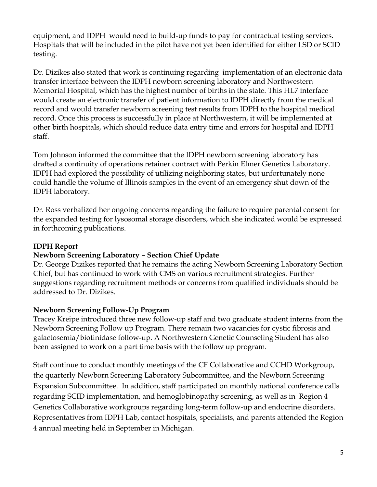equipment, and IDPH would need to build-up funds to pay for contractual testing services. Hospitals that will be included in the pilot have not yet been identified for either LSD or SCID testing.

Dr. Dizikes also stated that work is continuing regarding implementation of an electronic data transfer interface between the IDPH newborn screening laboratory and Northwestern Memorial Hospital, which has the highest number of births in the state. This HL7 interface would create an electronic transfer of patient information to IDPH directly from the medical record and would transfer newborn screening test results from IDPH to the hospital medical record. Once this process is successfully in place at Northwestern, it will be implemented at other birth hospitals, which should reduce data entry time and errors for hospital and IDPH staff.

Tom Johnson informed the committee that the IDPH newborn screening laboratory has drafted a continuity of operations retainer contract with Perkin Elmer Genetics Laboratory. IDPH had explored the possibility of utilizing neighboring states, but unfortunately none could handle the volume of Illinois samples in the event of an emergency shut down of the IDPH laboratory.

Dr. Ross verbalized her ongoing concerns regarding the failure to require parental consent for the expanded testing for lysosomal storage disorders, which she indicated would be expressed in forthcoming publications.

### **IDPH Report**

# **Newborn Screening Laboratory – Section Chief Update**

Dr. George Dizikes reported that he remains the acting Newborn Screening Laboratory Section Chief, but has continued to work with CMS on various recruitment strategies. Further suggestions regarding recruitment methods or concerns from qualified individuals should be addressed to Dr. Dizikes.

### **Newborn Screening Follow-Up Program**

Tracey Kreipe introduced three new follow-up staff and two graduate student interns from the Newborn Screening Follow up Program. There remain two vacancies for cystic fibrosis and galactosemia/biotinidase follow-up. A Northwestern Genetic Counseling Student has also been assigned to work on a part time basis with the follow up program.

Staff continue to conduct monthly meetings of the CF Collaborative and CCHD Workgroup, the quarterly Newborn Screening Laboratory Subcommittee, and the Newborn Screening Expansion Subcommittee. In addition, staff participated on monthly national conference calls regarding SCID implementation, and hemoglobinopathy screening, as well as in Region 4 Genetics Collaborative workgroups regarding long-term follow-up and endocrine disorders. Representatives from IDPH Lab, contact hospitals, specialists, and parents attended the Region 4 annual meeting held in September in Michigan.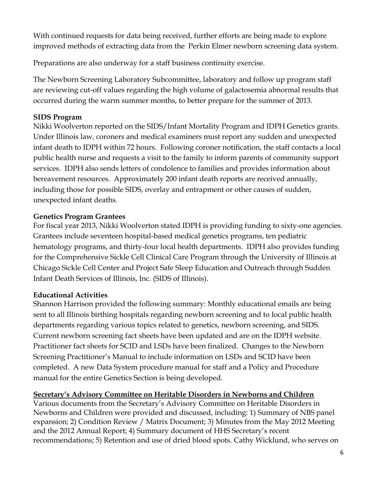With continued requests for data being received, further efforts are being made to explore improved methods of extracting data from the Perkin Elmer newborn screening data system.

Preparations are also underway for a staff business continuity exercise.

The Newborn Screening Laboratory Subcommittee, laboratory and follow up program staff are reviewing cut-off values regarding the high volume of galactosemia abnormal results that occurred during the warm summer months, to better prepare for the summer of 2013.

# **SIDS Program**

Nikki Woolverton reported on the SIDS/Infant Mortality Program and IDPH Genetics grants. Under Illinois law, coroners and medical examiners must report any sudden and unexpected infant death to IDPH within 72 hours. Following coroner notification, the staff contacts a local public health nurse and requests a visit to the family to inform parents of community support services. IDPH also sends letters of condolence to families and provides information about bereavement resources. Approximately 200 infant death reports are received annually, including those for possible SIDS, overlay and entrapment or other causes of sudden, unexpected infant deaths.

## **Genetics Program Grantees**

For fiscal year 2013, Nikki Woolverton stated IDPH is providing funding to sixty-one agencies. Grantees include seventeen hospital-based medical genetics programs, ten pediatric hematology programs, and thirty-four local health departments. IDPH also provides funding for the Comprehensive Sickle Cell Clinical Care Program through the University of Illinois at Chicago Sickle Cell Center and Project Safe Sleep Education and Outreach through Sudden Infant Death Services of Illinois, Inc. (SIDS of Illinois).

### **Educational Activities**

Shannon Harrison provided the following summary: Monthly educational emails are being sent to all Illinois birthing hospitals regarding newborn screening and to local public health departments regarding various topics related to genetics, newborn screening, and SIDS. Current newborn screening fact sheets have been updated and are on the IDPH website. Practitioner fact sheets for SCID and LSDs have been finalized. Changes to the Newborn Screening Practitioner's Manual to include information on LSDs and SCID have been completed. A new Data System procedure manual for staff and a Policy and Procedure manual for the entire Genetics Section is being developed.

### **Secretary's Advisory Committee on Heritable Disorders in Newborns and Children**

Various documents from the Secretary's Advisory Committee on Heritable Disorders in Newborns and Children were provided and discussed, including: 1) Summary of NBS panel expansion; 2) Condition Review / Matrix Document; 3) Minutes from the May 2012 Meeting and the 2012 Annual Report; 4) Summary document of HHS Secretary's recent recommendations; 5) Retention and use of dried blood spots. Cathy Wicklund, who serves on